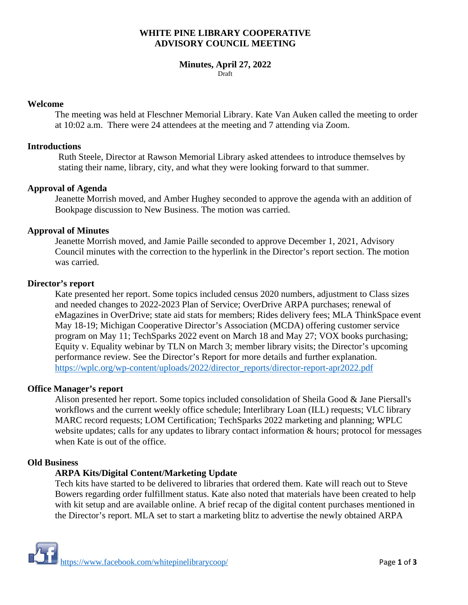## **WHITE PINE LIBRARY COOPERATIVE ADVISORY COUNCIL MEETING**

#### **Minutes, April 27, 2022** Draft

#### **Welcome**

The meeting was held at Fleschner Memorial Library. Kate Van Auken called the meeting to order at 10:02 a.m. There were 24 attendees at the meeting and 7 attending via Zoom.

## **Introductions**

Ruth Steele, Director at Rawson Memorial Library asked attendees to introduce themselves by stating their name, library, city, and what they were looking forward to that summer.

#### **Approval of Agenda**

Jeanette Morrish moved, and Amber Hughey seconded to approve the agenda with an addition of Bookpage discussion to New Business. The motion was carried.

#### **Approval of Minutes**

Jeanette Morrish moved, and Jamie Paille seconded to approve December 1, 2021, Advisory Council minutes with the correction to the hyperlink in the Director's report section. The motion was carried.

#### **Director's report**

Kate presented her report. Some topics included census 2020 numbers, adjustment to Class sizes and needed changes to 2022-2023 Plan of Service; OverDrive ARPA purchases; renewal of eMagazines in OverDrive; state aid stats for members; Rides delivery fees; MLA ThinkSpace event May 18-19; Michigan Cooperative Director's Association (MCDA) offering customer service program on May 11; TechSparks 2022 event on March 18 and May 27; VOX books purchasing; Equity v. Equality webinar by TLN on March 3; member library visits; the Director's upcoming performance review. See the Director's Report for more details and further explanation. [https://wplc.org/wp-content/uploads/2022/director\\_reports/director-report-apr2022.pdf](https://wplc.org/wp-content/uploads/2022/director_reports/director-report-apr2022.pdf)

## **Office Manager's report**

Alison presented her report. Some topics included consolidation of Sheila Good & Jane Piersall's workflows and the current weekly office schedule; Interlibrary Loan (ILL) requests; VLC library MARC record requests; LOM Certification; TechSparks 2022 marketing and planning; WPLC website updates; calls for any updates to library contact information  $\&$  hours; protocol for messages when Kate is out of the office.

## **Old Business**

## **ARPA Kits/Digital Content/Marketing Update**

Tech kits have started to be delivered to libraries that ordered them. Kate will reach out to Steve Bowers regarding order fulfillment status. Kate also noted that materials have been created to help with kit setup and are available online. A brief recap of the digital content purchases mentioned in the Director's report. MLA set to start a marketing blitz to advertise the newly obtained ARPA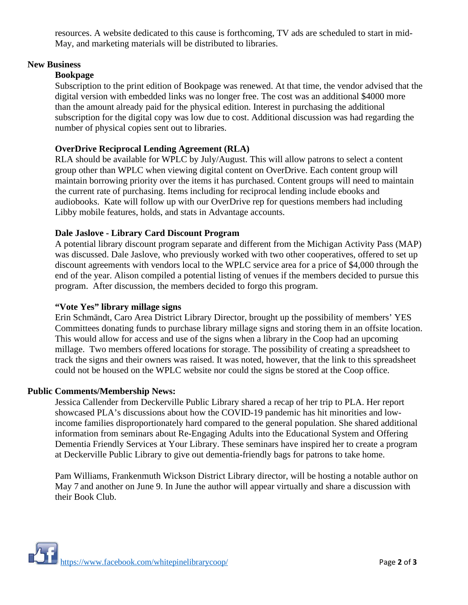resources. A website dedicated to this cause is forthcoming, TV ads are scheduled to start in mid-May, and marketing materials will be distributed to libraries.

# **New Business**

# **Bookpage**

Subscription to the print edition of Bookpage was renewed. At that time, the vendor advised that the digital version with embedded links was no longer free. The cost was an additional \$4000 more than the amount already paid for the physical edition. Interest in purchasing the additional subscription for the digital copy was low due to cost. Additional discussion was had regarding the number of physical copies sent out to libraries.

# **OverDrive Reciprocal Lending Agreement (RLA)**

RLA should be available for WPLC by July/August. This will allow patrons to select a content group other than WPLC when viewing digital content on OverDrive. Each content group will maintain borrowing priority over the items it has purchased. Content groups will need to maintain the current rate of purchasing. Items including for reciprocal lending include ebooks and audiobooks. Kate will follow up with our OverDrive rep for questions members had including Libby mobile features, holds, and stats in Advantage accounts.

# **Dale Jaslove - Library Card Discount Program**

A potential library discount program separate and different from the Michigan Activity Pass (MAP) was discussed. Dale Jaslove, who previously worked with two other cooperatives, offered to set up discount agreements with vendors local to the WPLC service area for a price of \$4,000 through the end of the year. Alison compiled a potential listing of venues if the members decided to pursue this program. After discussion, the members decided to forgo this program.

## **"Vote Yes" library millage signs**

Erin Schmändt, Caro Area District Library Director, brought up the possibility of members' YES Committees donating funds to purchase library millage signs and storing them in an offsite location. This would allow for access and use of the signs when a library in the Coop had an upcoming millage. Two members offered locations for storage. The possibility of creating a spreadsheet to track the signs and their owners was raised. It was noted, however, that the link to this spreadsheet could not be housed on the WPLC website nor could the signs be stored at the Coop office.

## **Public Comments/Membership News:**

Jessica Callender from Deckerville Public Library shared a recap of her trip to PLA. Her report showcased PLA's discussions about how the COVID-19 pandemic has hit minorities and lowincome families disproportionately hard compared to the general population. She shared additional information from seminars about Re-Engaging Adults into the Educational System and Offering Dementia Friendly Services at Your Library. These seminars have inspired her to create a program at Deckerville Public Library to give out dementia-friendly bags for patrons to take home.

Pam Williams, Frankenmuth Wickson District Library director, will be hosting a notable author on May 7 and another on June 9. In June the author will appear virtually and share a discussion with their Book Club.